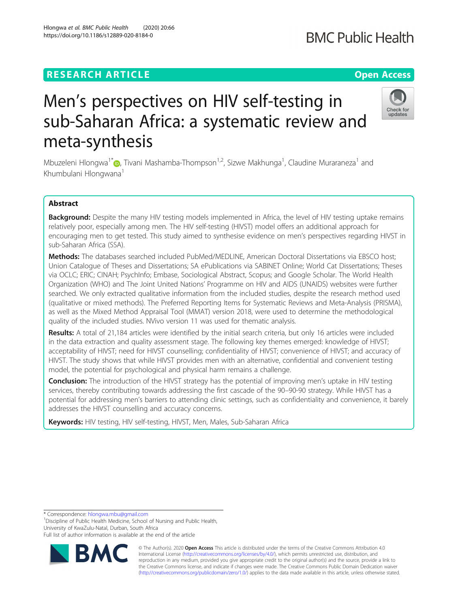### **RESEARCH ARTICLE Example 2014 12:30 The Contract of Contract ACCESS**

Hlongwa et al. BMC Public Health (2020) 20:66 https://doi.org/10.1186/s12889-020-8184-0

# Men's perspectives on HIV self-testing in sub-Saharan Africa: a systematic review and meta-synthesis

Mbuzeleni Hlongwa<sup>1[\\*](http://orcid.org/0000-0002-5352-5658)</sup>�, Tivani Mashamba-Thompson<sup>1,2</sup>, Sizwe Makhunga<sup>1</sup>, Claudine Muraraneza<sup>1</sup> and Khumbulani Hlongwana<sup>1</sup>

### Abstract

Background: Despite the many HIV testing models implemented in Africa, the level of HIV testing uptake remains relatively poor, especially among men. The HIV self-testing (HIVST) model offers an additional approach for encouraging men to get tested. This study aimed to synthesise evidence on men's perspectives regarding HIVST in sub-Saharan Africa (SSA).

Methods: The databases searched included PubMed/MEDLINE, American Doctoral Dissertations via EBSCO host; Union Catalogue of Theses and Dissertations; SA ePublications via SABINET Online; World Cat Dissertations; Theses via OCLC; ERIC; CINAH; PsychInfo; Embase, Sociological Abstract, Scopus; and Google Scholar. The World Health Organization (WHO) and The Joint United Nations' Programme on HIV and AIDS (UNAIDS) websites were further searched. We only extracted qualitative information from the included studies, despite the research method used (qualitative or mixed methods). The Preferred Reporting Items for Systematic Reviews and Meta-Analysis (PRISMA), as well as the Mixed Method Appraisal Tool (MMAT) version 2018, were used to determine the methodological quality of the included studies. NVivo version 11 was used for thematic analysis.

Results: A total of 21,184 articles were identified by the initial search criteria, but only 16 articles were included in the data extraction and quality assessment stage. The following key themes emerged: knowledge of HIVST; acceptability of HIVST; need for HIVST counselling; confidentiality of HIVST; convenience of HIVST; and accuracy of HIVST. The study shows that while HIVST provides men with an alternative, confidential and convenient testing model, the potential for psychological and physical harm remains a challenge.

Conclusion: The introduction of the HIVST strategy has the potential of improving men's uptake in HIV testing services, thereby contributing towards addressing the first cascade of the 90–90-90 strategy. While HIVST has a potential for addressing men's barriers to attending clinic settings, such as confidentiality and convenience, it barely addresses the HIVST counselling and accuracy concerns.

Keywords: HIV testing, HIV self-testing, HIVST, Men, Males, Sub-Saharan Africa

\* Correspondence: [hlongwa.mbu@gmail.com](mailto:hlongwa.mbu@gmail.com) <sup>1</sup>

<sup>1</sup> Discipline of Public Health Medicine, School of Nursing and Public Health, University of KwaZulu-Natal, Durban, South Africa

Full list of author information is available at the end of the article

© The Author(s). 2020 **Open Access** This article is distributed under the terms of the Creative Commons Attribution 4.0 International License [\(http://creativecommons.org/licenses/by/4.0/](http://creativecommons.org/licenses/by/4.0/)), which permits unrestricted use, distribution, and reproduction in any medium, provided you give appropriate credit to the original author(s) and the source, provide a link to the Creative Commons license, and indicate if changes were made. The Creative Commons Public Domain Dedication waiver [\(http://creativecommons.org/publicdomain/zero/1.0/](http://creativecommons.org/publicdomain/zero/1.0/)) applies to the data made available in this article, unless otherwise stated.





## **BMC Public Health**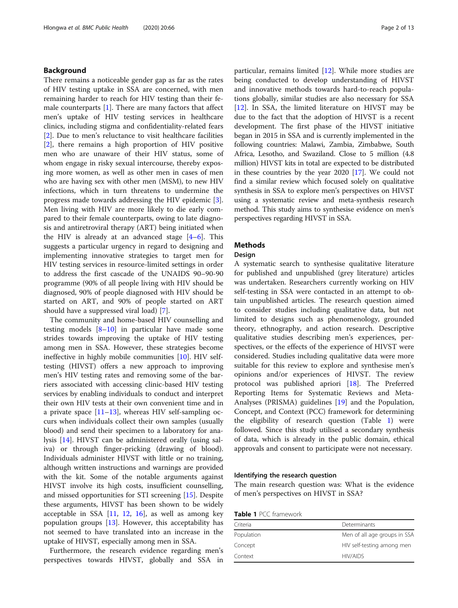#### Background

There remains a noticeable gender gap as far as the rates of HIV testing uptake in SSA are concerned, with men remaining harder to reach for HIV testing than their female counterparts [\[1](#page-10-0)]. There are many factors that affect men's uptake of HIV testing services in healthcare clinics, including stigma and confidentiality-related fears [[2\]](#page-10-0). Due to men's reluctance to visit healthcare facilities [[2\]](#page-10-0), there remains a high proportion of HIV positive men who are unaware of their HIV status, some of whom engage in risky sexual intercourse, thereby exposing more women, as well as other men in cases of men who are having sex with other men (MSM), to new HIV infections, which in turn threatens to undermine the progress made towards addressing the HIV epidemic [\[3](#page-10-0)]. Men living with HIV are more likely to die early compared to their female counterparts, owing to late diagnosis and antiretroviral therapy (ART) being initiated when the HIV is already at an advanced stage  $[4-6]$  $[4-6]$  $[4-6]$  $[4-6]$  $[4-6]$ . This suggests a particular urgency in regard to designing and implementing innovative strategies to target men for HIV testing services in resource-limited settings in order to address the first cascade of the UNAIDS 90–90-90 programme (90% of all people living with HIV should be diagnosed, 90% of people diagnosed with HIV should be started on ART, and 90% of people started on ART should have a suppressed viral load) [[7\]](#page-10-0).

The community and home-based HIV counselling and testing models [[8](#page-10-0)–[10\]](#page-10-0) in particular have made some strides towards improving the uptake of HIV testing among men in SSA. However, these strategies become ineffective in highly mobile communities [\[10](#page-10-0)]. HIV selftesting (HIVST) offers a new approach to improving men's HIV testing rates and removing some of the barriers associated with accessing clinic-based HIV testing services by enabling individuals to conduct and interpret their own HIV tests at their own convenient time and in a private space  $[11-13]$  $[11-13]$  $[11-13]$ , whereas HIV self-sampling occurs when individuals collect their own samples (usually blood) and send their specimen to a laboratory for analysis [[14\]](#page-11-0). HIVST can be administered orally (using saliva) or through finger-pricking (drawing of blood). Individuals administer HIVST with little or no training, although written instructions and warnings are provided with the kit. Some of the notable arguments against HIVST involve its high costs, insufficient counselling, and missed opportunities for STI screening [[15](#page-11-0)]. Despite these arguments, HIVST has been shown to be widely acceptable in SSA  $[11, 12, 16]$  $[11, 12, 16]$  $[11, 12, 16]$  $[11, 12, 16]$  $[11, 12, 16]$  $[11, 12, 16]$ , as well as among key population groups [\[13](#page-10-0)]. However, this acceptability has not seemed to have translated into an increase in the uptake of HIVST, especially among men in SSA.

Furthermore, the research evidence regarding men's perspectives towards HIVST, globally and SSA in particular, remains limited [[12](#page-10-0)]. While more studies are being conducted to develop understanding of HIVST and innovative methods towards hard-to-reach populations globally, similar studies are also necessary for SSA [[12\]](#page-10-0). In SSA, the limited literature on HIVST may be due to the fact that the adoption of HIVST is a recent development. The first phase of the HIVST initiative began in 2015 in SSA and is currently implemented in the following countries: Malawi, Zambia, Zimbabwe, South Africa, Lesotho, and Swaziland. Close to 5 million (4.8 million) HIVST kits in total are expected to be distributed in these countries by the year 2020 [\[17\]](#page-11-0). We could not find a similar review which focused solely on qualitative synthesis in SSA to explore men's perspectives on HIVST using a systematic review and meta-synthesis research method. This study aims to synthesise evidence on men's perspectives regarding HIVST in SSA.

### Methods

#### Design

A systematic search to synthesise qualitative literature for published and unpublished (grey literature) articles was undertaken. Researchers currently working on HIV self-testing in SSA were contacted in an attempt to obtain unpublished articles. The research question aimed to consider studies including qualitative data, but not limited to designs such as phenomenology, grounded theory, ethnography, and action research. Descriptive qualitative studies describing men's experiences, perspectives, or the effects of the experience of HIVST were considered. Studies including qualitative data were more suitable for this review to explore and synthesise men's opinions and/or experiences of HIVST. The review protocol was published apriori [\[18](#page-11-0)]. The Preferred Reporting Items for Systematic Reviews and Meta-Analyses (PRISMA) guidelines [[19\]](#page-11-0) and the Population, Concept, and Context (PCC) framework for determining the eligibility of research question (Table 1) were followed. Since this study utilised a secondary synthesis of data, which is already in the public domain, ethical approvals and consent to participate were not necessary.

#### Identifying the research question

The main research question was: What is the evidence of men's perspectives on HIVST in SSA?

Table 1 PCC framework

| Criteria   | Determinants                 |
|------------|------------------------------|
| Population | Men of all age groups in SSA |
| Concept    | HIV self-testing among men   |
| Context    | <b>HIV/AIDS</b>              |
|            |                              |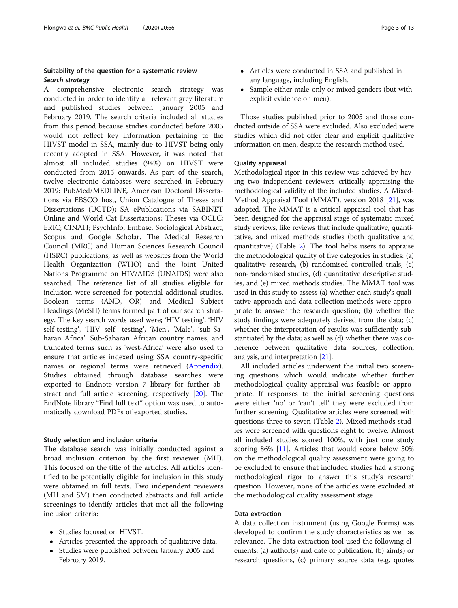## Suitability of the question for a systematic review

A comprehensive electronic search strategy was conducted in order to identify all relevant grey literature and published studies between January 2005 and February 2019. The search criteria included all studies from this period because studies conducted before 2005 would not reflect key information pertaining to the HIVST model in SSA, mainly due to HIVST being only recently adopted in SSA. However, it was noted that almost all included studies (94%) on HIVST were conducted from 2015 onwards. As part of the search, twelve electronic databases were searched in February 2019: PubMed/MEDLINE, American Doctoral Dissertations via EBSCO host, Union Catalogue of Theses and Dissertations (UCTD); SA ePublications via SABINET Online and World Cat Dissertations; Theses via OCLC; ERIC; CINAH; PsychInfo; Embase, Sociological Abstract, Scopus and Google Scholar. The Medical Research Council (MRC) and Human Sciences Research Council (HSRC) publications, as well as websites from the World Health Organization (WHO) and the Joint United Nations Programme on HIV/AIDS (UNAIDS) were also searched. The reference list of all studies eligible for inclusion were screened for potential additional studies. Boolean terms (AND, OR) and Medical Subject Headings (MeSH) terms formed part of our search strategy. The key search words used were; 'HIV testing', 'HIV self-testing', 'HIV self- testing', 'Men', 'Male', 'sub-Saharan Africa'. Sub-Saharan African country names, and truncated terms such as 'west-Africa' were also used to ensure that articles indexed using SSA country-specific names or regional terms were retrieved [\(Appendix](#page-10-0)). Studies obtained through database searches were exported to Endnote version 7 library for further abstract and full article screening, respectively [\[20\]](#page-11-0). The EndNote library "Find full text" option was used to automatically download PDFs of exported studies.

#### Study selection and inclusion criteria

The database search was initially conducted against a broad inclusion criterion by the first reviewer (MH). This focused on the title of the articles. All articles identified to be potentially eligible for inclusion in this study were obtained in full texts. Two independent reviewers (MH and SM) then conducted abstracts and full article screenings to identify articles that met all the following inclusion criteria:

- Studies focused on HIVST.
- Articles presented the approach of qualitative data.
- Studies were published between January 2005 and February 2019.
- Articles were conducted in SSA and published in any language, including English.
- Sample either male-only or mixed genders (but with explicit evidence on men).

Those studies published prior to 2005 and those conducted outside of SSA were excluded. Also excluded were studies which did not offer clear and explicit qualitative information on men, despite the research method used.

#### Quality appraisal

Methodological rigor in this review was achieved by having two independent reviewers critically appraising the methodological validity of the included studies. A Mixed-Method Appraisal Tool (MMAT), version 2018 [\[21](#page-11-0)], was adopted. The MMAT is a critical appraisal tool that has been designed for the appraisal stage of systematic mixed study reviews, like reviews that include qualitative, quantitative, and mixed methods studies (both qualitative and quantitative) (Table [2\)](#page-3-0). The tool helps users to appraise the methodological quality of five categories in studies: (a) qualitative research, (b) randomised controlled trials, (c) non-randomised studies, (d) quantitative descriptive studies, and (e) mixed methods studies. The MMAT tool was used in this study to assess (a) whether each study's qualitative approach and data collection methods were appropriate to answer the research question; (b) whether the study findings were adequately derived from the data; (c) whether the interpretation of results was sufficiently substantiated by the data; as well as (d) whether there was coherence between qualitative data sources, collection, analysis, and interpretation [\[21\]](#page-11-0).

All included articles underwent the initial two screening questions which would indicate whether further methodological quality appraisal was feasible or appropriate. If responses to the initial screening questions were either 'no' or 'can't tell' they were excluded from further screening. Qualitative articles were screened with questions three to seven (Table [2\)](#page-3-0). Mixed methods studies were screened with questions eight to twelve. Almost all included studies scored 100%, with just one study scoring 86% [[11\]](#page-10-0). Articles that would score below 50% on the methodological quality assessment were going to be excluded to ensure that included studies had a strong methodological rigor to answer this study's research question. However, none of the articles were excluded at the methodological quality assessment stage.

#### Data extraction

A data collection instrument (using Google Forms) was developed to confirm the study characteristics as well as relevance. The data extraction tool used the following elements: (a) author(s) and date of publication, (b) aim(s) or research questions, (c) primary source data (e.g. quotes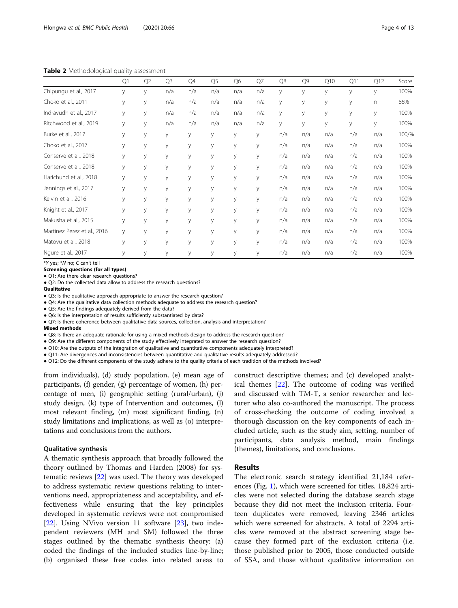<span id="page-3-0"></span>Table 2 Methodological quality assessment

| - . - <i>.</i><br>$-1$ and $-1$ |    |    |                |     |                |                |     |     |     |     |     |     |       |
|---------------------------------|----|----|----------------|-----|----------------|----------------|-----|-----|-----|-----|-----|-----|-------|
|                                 | Q1 | Q2 | Q <sub>3</sub> | Q4  | Q <sub>5</sub> | Q <sub>6</sub> | Q7  | Q8  | Q9  | Q10 | Q11 | Q12 | Score |
| Chipungu et al., 2017           | У  | У  | n/a            | n/a | n/a            | n/a            | n/a | У   | У   | У   | У   | У   | 100%  |
| Choko et al., 2011              | У  | y  | n/a            | n/a | n/a            | n/a            | n/a | У   | У   | У   | У   | n   | 86%   |
| Indravudh et al., 2017          | У  | y  | n/a            | n/a | n/a            | n/a            | n/a | У   | У   | У   | У   | У   | 100%  |
| Ritchwood et al., 2019          | У  | y  | n/a            | n/a | n/a            | n/a            | n/a | У   | у   | У   | У   | V   | 100%  |
| Burke et al., 2017              | У  | y  | У              | y   | У              | y              | У   | n/a | n/a | n/a | n/a | n/a | 100/% |
| Choko et al., 2017              | У  | y  | y              | y   | y              | У              | y   | n/a | n/a | n/a | n/a | n/a | 100%  |
| Conserve et al., 2018           | У  | У  | У              | y   | У              | У              | У   | n/a | n/a | n/a | n/a | n/a | 100%  |
| Conserve et al., 2018           | У  | У  | У              | y   | У              | У              | У   | n/a | n/a | n/a | n/a | n/a | 100%  |
| Harichund et al., 2018          | У  | y  | У              | y   | y              | У              | У   | n/a | n/a | n/a | n/a | n/a | 100%  |
| Jennings et al., 2017           | У  | y  | У              | y   | У              | y              | У   | n/a | n/a | n/a | n/a | n/a | 100%  |
| Kelvin et al., 2016             | У  | y  | У              | y   | У              | У              | У   | n/a | n/a | n/a | n/a | n/a | 100%  |
| Knight et al., 2017             | У  | y  | y              | y   | y              | y              | y   | n/a | n/a | n/a | n/a | n/a | 100%  |
| Makusha et al., 2015            | У  | y  | y              | y   | У              | y              | y   | n/a | n/a | n/a | n/a | n/a | 100%  |
| Martinez Perez et al., 2016     | У  | У  | У              | У   | У              | У              | У   | n/a | n/a | n/a | n/a | n/a | 100%  |
| Matovu et al., 2018             | У  | у  | У              | y   | У              | У              | У   | n/a | n/a | n/a | n/a | n/a | 100%  |
| Ngure et al., 2017              | У  | y  | У              | y   | У              | У              | У   | n/a | n/a | n/a | n/a | n/a | 100%  |
|                                 |    |    |                |     |                |                |     |     |     |     |     |     |       |

\*Y yes; \*N no; C can't tell

Screening questions (for all types)

● Q1: Are there clear research questions?

● Q2: Do the collected data allow to address the research questions?

Qualitative

● Q3: Is the qualitative approach appropriate to answer the research question?

● Q4: Are the qualitative data collection methods adequate to address the research question?

● Q5: Are the findings adequately derived from the data?

● Q6: Is the interpretation of results sufficiently substantiated by data?

● Q7: Is there coherence between qualitative data sources, collection, analysis and interpretation?

Mixed methods

● Q8: Is there an adequate rationale for using a mixed methods design to address the research question?

● Q9: Are the different components of the study effectively integrated to answer the research question?

● Q10: Are the outputs of the integration of qualitative and quantitative components adequately interpreted?

● Q11: Are divergences and inconsistencies between quantitative and qualitative results adequately addressed?

● Q12: Do the different components of the study adhere to the quality criteria of each tradition of the methods involved?

from individuals), (d) study population, (e) mean age of participants, (f) gender, (g) percentage of women, (h) percentage of men, (i) geographic setting (rural/urban), (j) study design, (k) type of Intervention and outcomes, (l) most relevant finding, (m) most significant finding, (n) study limitations and implications, as well as (o) interpretations and conclusions from the authors.

#### Qualitative synthesis

A thematic synthesis approach that broadly followed the theory outlined by Thomas and Harden (2008) for systematic reviews [\[22\]](#page-11-0) was used. The theory was developed to address systematic review questions relating to interventions need, appropriateness and acceptability, and effectiveness while ensuring that the key principles developed in systematic reviews were not compromised [[22\]](#page-11-0). Using NVivo version 11 software [[23\]](#page-11-0), two independent reviewers (MH and SM) followed the three stages outlined by the thematic synthesis theory: (a) coded the findings of the included studies line-by-line; (b) organised these free codes into related areas to

construct descriptive themes; and (c) developed analytical themes [[22\]](#page-11-0). The outcome of coding was verified and discussed with TM-T, a senior researcher and lecturer who also co-authored the manuscript. The process of cross-checking the outcome of coding involved a thorough discussion on the key components of each included article, such as the study aim, setting, number of participants, data analysis method, main findings (themes), limitations, and conclusions.

#### Results

The electronic search strategy identified 21,184 references (Fig. [1\)](#page-4-0), which were screened for titles. 18,824 articles were not selected during the database search stage because they did not meet the inclusion criteria. Fourteen duplicates were removed, leaving 2346 articles which were screened for abstracts. A total of 2294 articles were removed at the abstract screening stage because they formed part of the exclusion criteria (i.e. those published prior to 2005, those conducted outside of SSA, and those without qualitative information on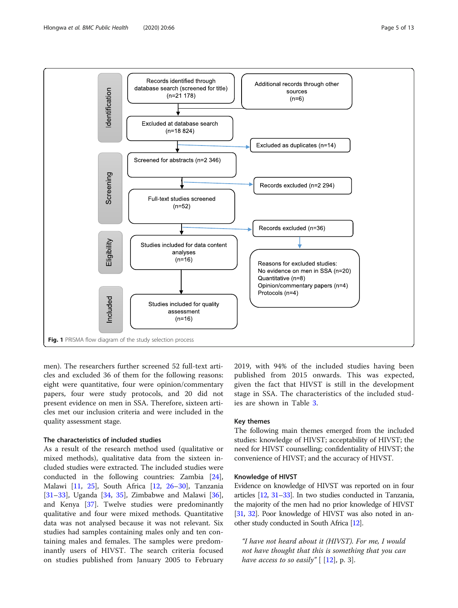

<span id="page-4-0"></span>

men). The researchers further screened 52 full-text articles and excluded 36 of them for the following reasons: eight were quantitative, four were opinion/commentary papers, four were study protocols, and 20 did not present evidence on men in SSA. Therefore, sixteen articles met our inclusion criteria and were included in the quality assessment stage.

#### The characteristics of included studies

As a result of the research method used (qualitative or mixed methods), qualitative data from the sixteen included studies were extracted. The included studies were conducted in the following countries: Zambia [\[24](#page-11-0)], Malawi [[11](#page-10-0), [25](#page-11-0)], South Africa [\[12](#page-10-0), [26](#page-11-0)–[30\]](#page-11-0), Tanzania [[31](#page-11-0)–[33](#page-11-0)], Uganda [\[34](#page-11-0), [35\]](#page-11-0), Zimbabwe and Malawi [\[36](#page-11-0)], and Kenya [[37\]](#page-11-0). Twelve studies were predominantly qualitative and four were mixed methods. Quantitative data was not analysed because it was not relevant. Six studies had samples containing males only and ten containing males and females. The samples were predominantly users of HIVST. The search criteria focused on studies published from January 2005 to February 2019, with 94% of the included studies having been published from 2015 onwards. This was expected, given the fact that HIVST is still in the development stage in SSA. The characteristics of the included studies are shown in Table [3.](#page-5-0)

#### Key themes

The following main themes emerged from the included studies: knowledge of HIVST; acceptability of HIVST; the need for HIVST counselling; confidentiality of HIVST; the convenience of HIVST; and the accuracy of HIVST.

#### Knowledge of HIVST

Evidence on knowledge of HIVST was reported on in four articles [\[12,](#page-10-0) [31](#page-11-0)–[33](#page-11-0)]. In two studies conducted in Tanzania, the majority of the men had no prior knowledge of HIVST [[31,](#page-11-0) [32](#page-11-0)]. Poor knowledge of HIVST was also noted in another study conducted in South Africa [\[12\]](#page-10-0).

"I have not heard about it (HIVST). For me, I would not have thought that this is something that you can have access to so easily"  $[12]$  $[12]$ , p. 3].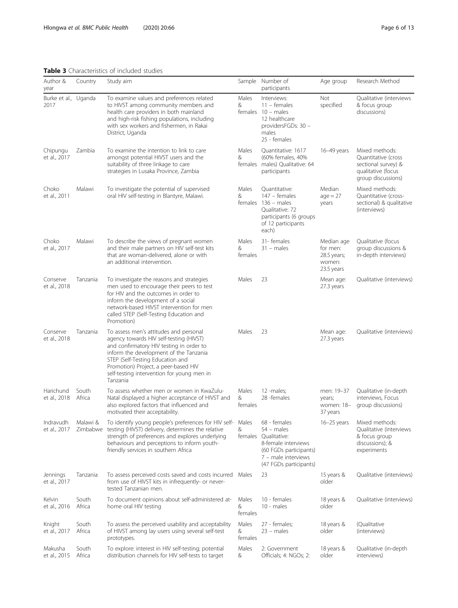#### <span id="page-5-0"></span>Table 3 Characteristics of included studies

| Author &<br>year             | Country              | Study aim                                                                                                                                                                                                                                                                                                     |                       | Sample Number of<br>participants                                                                                                             | Age group                                                     | Research Method                                                                                          |
|------------------------------|----------------------|---------------------------------------------------------------------------------------------------------------------------------------------------------------------------------------------------------------------------------------------------------------------------------------------------------------|-----------------------|----------------------------------------------------------------------------------------------------------------------------------------------|---------------------------------------------------------------|----------------------------------------------------------------------------------------------------------|
| Burke et al., Uganda<br>2017 |                      | To examine values and preferences related<br>to HIVST among community members and<br>health care providers in both mainland<br>and high-risk fishing populations, including<br>with sex workers and fishermen, in Rakai<br>District, Uganda                                                                   | Males<br>&<br>females | Interviews:<br>$11 -$ females<br>$10 - males$<br>12 healthcare<br>providersFGDs: 30 -<br>males<br>25 - females                               | <b>Not</b><br>specified                                       | Qualitative (interviews<br>& focus group<br>discussions)                                                 |
| Chipungu<br>et al., 2017     | Zambia               | To examine the intention to link to care<br>amongst potential HIVST users and the<br>suitability of three linkage to care<br>strategies in Lusaka Province, Zambia                                                                                                                                            | Males<br>&<br>females | Quantitative: 1617<br>(60% females, 40%<br>males) Qualitative: 64<br>participants                                                            | 16-49 years                                                   | Mixed methods:<br>Quantitative (cross<br>sectional survey) &<br>qualitative (focus<br>group discussions) |
| Choko<br>et al., 2011        | Malawi               | To investigate the potential of supervised<br>oral HIV self-testing in Blantyre, Malawi.                                                                                                                                                                                                                      | Males<br>&<br>females | Quantitative:<br>147 - females<br>$136 - males$<br>Qualitative: 72<br>participants (6 groups<br>of 12 participants<br>each)                  | Median<br>$age = 27$<br>years                                 | Mixed methods:<br>Quantitative (cross-<br>sectional) & qualitative<br>(interviews)                       |
| Choko<br>et al., 2017        | Malawi               | To describe the views of pregnant women<br>and their male partners on HIV self-test kits<br>that are woman-delivered, alone or with<br>an additional intervention.                                                                                                                                            | Males<br>&<br>females | 31- females<br>$31 -$ males                                                                                                                  | Median age<br>for men:<br>28.5 years;<br>women:<br>23.5 years | Qualitative (focus<br>group discussions &<br>in-depth interviews)                                        |
| Conserve<br>et al., 2018     | Tanzania             | To investigate the reasons and strategies<br>men used to encourage their peers to test<br>for HIV and the outcomes in order to<br>inform the development of a social<br>network-based HIVST intervention for men<br>called STEP (Self-Testing Education and<br>Promotion)                                     | Males                 | 23                                                                                                                                           | Mean age:<br>27.3 years                                       | Qualitative (interviews)                                                                                 |
| Conserve<br>et al., 2018     | Tanzania             | To assess men's attitudes and personal<br>agency towards HIV self-testing (HIVST)<br>and confirmatory HIV testing in order to<br>inform the development of the Tanzania<br>STEP (Self-Testing Education and<br>Promotion) Project, a peer-based HIV<br>self-testing intervention for young men in<br>Tanzania | Males                 | 23                                                                                                                                           | Mean age:<br>27.3 years                                       | Qualitative (interviews)                                                                                 |
| Harichund<br>et al., 2018    | South<br>Africa      | To assess whether men or women in KwaZulu-<br>Natal displayed a higher acceptance of HIVST and<br>also explored factors that influenced and<br>motivated their acceptability.                                                                                                                                 | Males<br>&<br>females | 12 -males;<br>28 -females                                                                                                                    | men: 19-37<br>years;<br>women: 18-<br>37 years                | Qualitative (in-depth<br>interviews, Focus<br>group discussions)                                         |
| Indravudh<br>et al., 2017    | Malawi &<br>Zimbabwe | To identify young people's preferences for HIV self- Males<br>testing (HIVST) delivery, determines the relative<br>strength of preferences and explores underlying<br>behaviours and perceptions to inform youth-<br>friendly services in southern Africa                                                     | &<br>females          | 68 - females<br>54 – males<br>Qualitative:<br>8-female interviews<br>(60 FGDs participants)<br>7 - male interviews<br>(47 FGDs participants) | 16-25 years                                                   | Mixed methods:<br>Qualitative (interviews<br>& focus group<br>discussions); &<br>experiments             |
| Jennings<br>et al., 2017     | Tanzania             | To assess perceived costs saved and costs incurred Males<br>from use of HIVST kits in infrequently- or never-<br>tested Tanzanian men.                                                                                                                                                                        |                       | 23                                                                                                                                           | 15 years &<br>older                                           | Qualitative (interviews)                                                                                 |
| Kelvin<br>et al., 2016       | South<br>Africa      | To document opinions about self-administered at-<br>home oral HIV testing                                                                                                                                                                                                                                     | Males<br>&<br>females | 10 - females<br>10 - males                                                                                                                   | 18 years &<br>older                                           | Qualitative (interviews)                                                                                 |
| Knight<br>et al., 2017       | South<br>Africa      | To assess the perceived usability and acceptability<br>of HIVST among lay users using several self-test<br>prototypes.                                                                                                                                                                                        | Males<br>&<br>females | 27 - females;<br>$23 - males$                                                                                                                | 18 years &<br>older                                           | (Qualitative<br>(interviews)                                                                             |
| Makusha<br>et al., 2015      | South<br>Africa      | To explore: interest in HIV self-testing; potential<br>distribution channels for HIV self-tests to target                                                                                                                                                                                                     | Males<br>&            | 2: Government<br>Officials; 4: NGOs; 2:                                                                                                      | 18 years &<br>older                                           | Qualitative (in-depth<br>interviews)                                                                     |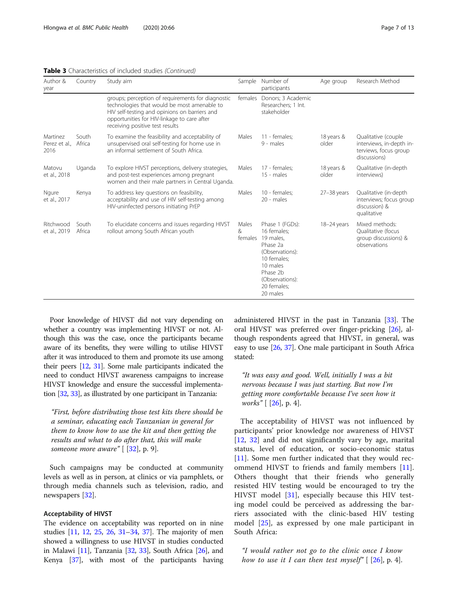#### Table 3 Characteristics of included studies (Continued)

| Author &<br>year                  | Country         | Study aim                                                                                                                                                                                                                           | Sample                | Number of<br>participants                                                                                                                                       | Age group           | Research Method                                                                          |
|-----------------------------------|-----------------|-------------------------------------------------------------------------------------------------------------------------------------------------------------------------------------------------------------------------------------|-----------------------|-----------------------------------------------------------------------------------------------------------------------------------------------------------------|---------------------|------------------------------------------------------------------------------------------|
|                                   |                 | groups; perception of requirements for diagnostic<br>technologies that would be most amenable to<br>HIV self-testing and opinions on barriers and<br>opportunities for HIV-linkage to care after<br>receiving positive test results | females               | Donors; 3 Academic<br>Researchers; 1 Int.<br>stakeholder                                                                                                        |                     |                                                                                          |
| Martinez<br>Perez et al.,<br>2016 | South<br>Africa | To examine the feasibility and acceptability of<br>unsupervised oral self-testing for home use in<br>an informal settlement of South Africa.                                                                                        | Males                 | 11 - females:<br>9 - males                                                                                                                                      | 18 years &<br>older | Qualitative (couple<br>interviews, in-depth in-<br>terviews, focus group<br>discussions) |
| Matovu<br>et al., 2018            | Uganda          | To explore HIVST perceptions, delivery strategies,<br>and post-test experiences among pregnant<br>women and their male partners in Central Uganda.                                                                                  | Males                 | 17 - females;<br>$15 - males$                                                                                                                                   | 18 years &<br>older | Qualitative (in-depth<br>interviews)                                                     |
| Ngure<br>et al., 2017             | Kenya           | To address key questions on feasibility,<br>acceptability and use of HIV self-testing among<br>HIV-uninfected persons initiating PrEP                                                                                               | Males                 | 10 - females;<br>20 - males                                                                                                                                     | 27-38 years         | Qualitative (in-depth<br>interviews; focus group<br>discussion) &<br>qualitative         |
| Ritchwood<br>et al., 2019         | South<br>Africa | To elucidate concerns and issues regarding HIVST<br>rollout among South African youth                                                                                                                                               | Males<br>&<br>females | Phase 1 (FGDs):<br>16 females;<br>19 males.<br>Phase 2a<br>(Observations):<br>10 females;<br>10 males<br>Phase 2b<br>(Observations):<br>20 females;<br>20 males | 18-24 years         | Mixed methods:<br>Qualitative (focus<br>group discussions) &<br>observations             |

Poor knowledge of HIVST did not vary depending on whether a country was implementing HIVST or not. Although this was the case, once the participants became aware of its benefits, they were willing to utilise HIVST

after it was introduced to them and promote its use among their peers [\[12,](#page-10-0) [31](#page-11-0)]. Some male participants indicated the need to conduct HIVST awareness campaigns to increase HIVST knowledge and ensure the successful implementation [[32](#page-11-0), [33](#page-11-0)], as illustrated by one participant in Tanzania:

"First, before distributing those test kits there should be a seminar, educating each Tanzanian in general for them to know how to use the kit and then getting the results and what to do after that, this will make someone more aware" [ [[32](#page-11-0)], p. 9].

Such campaigns may be conducted at community levels as well as in person, at clinics or via pamphlets, or through media channels such as television, radio, and newspapers [[32\]](#page-11-0).

#### Acceptability of HIVST

The evidence on acceptability was reported on in nine studies [\[11,](#page-10-0) [12,](#page-10-0) [25](#page-11-0), [26,](#page-11-0) [31](#page-11-0)–[34](#page-11-0), [37\]](#page-11-0). The majority of men showed a willingness to use HIVST in studies conducted in Malawi  $[11]$ , Tanzania  $[32, 33]$  $[32, 33]$  $[32, 33]$  $[32, 33]$ , South Africa  $[26]$ , and Kenya [\[37\]](#page-11-0), with most of the participants having

administered HIVST in the past in Tanzania [\[33\]](#page-11-0). The oral HIVST was preferred over finger-pricking [[26](#page-11-0)], although respondents agreed that HIVST, in general, was easy to use [\[26,](#page-11-0) [37\]](#page-11-0). One male participant in South Africa stated:

"It was easy and good. Well, initially I was a bit nervous because I was just starting. But now I'm getting more comfortable because I've seen how it works" [ [\[26](#page-11-0)], p. 4].

The acceptability of HIVST was not influenced by participants' prior knowledge nor awareness of HIVST [[12,](#page-10-0) [32\]](#page-11-0) and did not significantly vary by age, marital status, level of education, or socio-economic status [[11\]](#page-10-0). Some men further indicated that they would recommend HIVST to friends and family members [\[11](#page-10-0)]. Others thought that their friends who generally resisted HIV testing would be encouraged to try the HIVST model [[31\]](#page-11-0), especially because this HIV testing model could be perceived as addressing the barriers associated with the clinic-based HIV testing model [\[25](#page-11-0)], as expressed by one male participant in South Africa:

"I would rather not go to the clinic once I know how to use it I can then test myself"  $[26]$  $[26]$ , p. 4].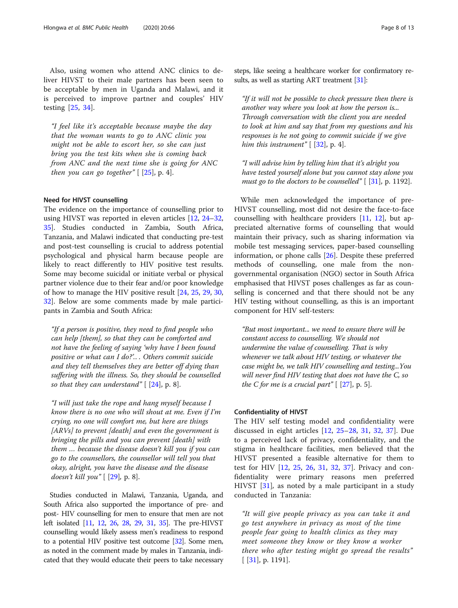Also, using women who attend ANC clinics to deliver HIVST to their male partners has been seen to be acceptable by men in Uganda and Malawi, and it is perceived to improve partner and couples' HIV testing [[25,](#page-11-0) [34\]](#page-11-0).

"I feel like it's acceptable because maybe the day that the woman wants to go to ANC clinic you might not be able to escort her, so she can just bring you the test kits when she is coming back from ANC and the next time she is going for ANC then you can go together"  $[25]$  $[25]$ , p. 4].

#### Need for HIVST counselling

The evidence on the importance of counselling prior to using HIVST was reported in eleven articles [\[12](#page-10-0), [24](#page-11-0)–[32](#page-11-0), [35\]](#page-11-0). Studies conducted in Zambia, South Africa, Tanzania, and Malawi indicated that conducting pre-test and post-test counselling is crucial to address potential psychological and physical harm because people are likely to react differently to HIV positive test results. Some may become suicidal or initiate verbal or physical partner violence due to their fear and/or poor knowledge of how to manage the HIV positive result [[24](#page-11-0), [25](#page-11-0), [29](#page-11-0), [30](#page-11-0), [32\]](#page-11-0). Below are some comments made by male participants in Zambia and South Africa:

"If a person is positive, they need to find people who can help [them], so that they can be comforted and not have the feeling of saying 'why have I been found positive or what can I do?'.. . Others commit suicide and they tell themselves they are better off dying than suffering with the illness. So, they should be counselled so that they can understand"  $[24]$  $[24]$  $[24]$ , p. 8].

"I will just take the rope and hang myself because I know there is no one who will shout at me. Even if I'm crying, no one will comfort me, but here are things [ARVs] to prevent [death] and even the government is bringing the pills and you can prevent [death] with them … because the disease doesn't kill you if you can go to the counsellors, the counsellor will tell you that okay, alright, you have the disease and the disease doesn't kill you" [ [\[29](#page-11-0)], p. 8].

Studies conducted in Malawi, Tanzania, Uganda, and South Africa also supported the importance of pre- and post- HIV counselling for men to ensure that men are not left isolated [[11](#page-10-0), [12](#page-10-0), [26](#page-11-0), [28](#page-11-0), [29](#page-11-0), [31](#page-11-0), [35](#page-11-0)]. The pre-HIVST counselling would likely assess men's readiness to respond to a potential HIV positive test outcome [\[32\]](#page-11-0). Some men, as noted in the comment made by males in Tanzania, indicated that they would educate their peers to take necessary steps, like seeing a healthcare worker for confirmatory re-sults, as well as starting ART treatment [[31](#page-11-0)]:

"If it will not be possible to check pressure then there is another way where you look at how the person is... Through conversation with the client you are needed to look at him and say that from my questions and his responses is he not going to commit suicide if we give him this instrument"  $[$  [\[32](#page-11-0)], p. 4].

"I will advise him by telling him that it's alright you have tested yourself alone but you cannot stay alone you must go to the doctors to be counselled"  $[31]$  $[31]$ , p. 1192].

While men acknowledged the importance of pre-HIVST counselling, most did not desire the face-to-face counselling with healthcare providers [[11,](#page-10-0) [12](#page-10-0)], but appreciated alternative forms of counselling that would maintain their privacy, such as sharing information via mobile test messaging services, paper-based counselling information, or phone calls [[26\]](#page-11-0). Despite these preferred methods of counselling, one male from the nongovernmental organisation (NGO) sector in South Africa emphasised that HIVST poses challenges as far as counselling is concerned and that there should not be any HIV testing without counselling, as this is an important component for HIV self-testers:

"But most important... we need to ensure there will be constant access to counselling. We should not undermine the value of counselling. That is why whenever we talk about HIV testing, or whatever the case might be, we talk HIV counselling and testing...You will never find HIV testing that does not have the C, so the C for me is a crucial part"  $[27]$ , p. 5].

#### Confidentiality of HIVST

The HIV self testing model and confidentiality were discussed in eight articles [\[12](#page-10-0), [25](#page-11-0)–[28,](#page-11-0) [31,](#page-11-0) [32,](#page-11-0) [37](#page-11-0)]. Due to a perceived lack of privacy, confidentiality, and the stigma in healthcare facilities, men believed that the HIVST presented a feasible alternative for them to test for HIV [[12,](#page-10-0) [25](#page-11-0), [26,](#page-11-0) [31,](#page-11-0) [32](#page-11-0), [37\]](#page-11-0). Privacy and confidentiality were primary reasons men preferred HIVST [[31](#page-11-0)], as noted by a male participant in a study conducted in Tanzania:

"It will give people privacy as you can take it and go test anywhere in privacy as most of the time people fear going to health clinics as they may meet someone they know or they know a worker there who after testing might go spread the results"  $[$  [[31\]](#page-11-0), p. 1191].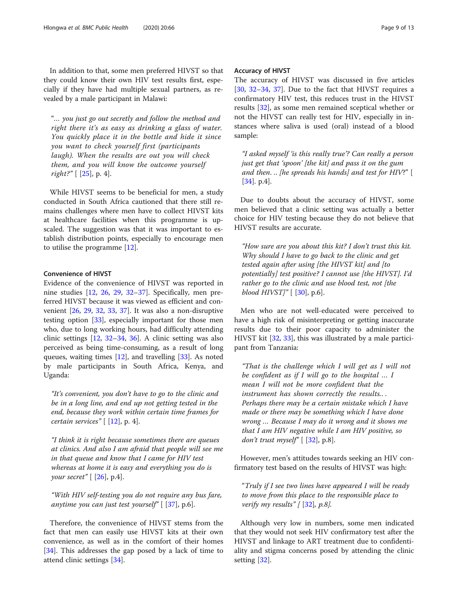In addition to that, some men preferred HIVST so that they could know their own HIV test results first, especially if they have had multiple sexual partners, as revealed by a male participant in Malawi:

"… you just go out secretly and follow the method and right there it's as easy as drinking a glass of water. You quickly place it in the bottle and hide it since you want to check yourself first (participants laugh). When the results are out you will check them, and you will know the outcome yourself *right?"* [ $[25]$  $[25]$  $[25]$ , p. 4].

While HIVST seems to be beneficial for men, a study conducted in South Africa cautioned that there still remains challenges where men have to collect HIVST kits at healthcare facilities when this programme is upscaled. The suggestion was that it was important to establish distribution points, especially to encourage men to utilise the programme [[12\]](#page-10-0).

#### Convenience of HIVST

Evidence of the convenience of HIVST was reported in nine studies [[12,](#page-10-0) [26,](#page-11-0) [29](#page-11-0), [32](#page-11-0)–[37\]](#page-11-0). Specifically, men preferred HIVST because it was viewed as efficient and convenient [\[26](#page-11-0), [29,](#page-11-0) [32](#page-11-0), [33,](#page-11-0) [37](#page-11-0)]. It was also a non-disruptive testing option [\[33](#page-11-0)], especially important for those men who, due to long working hours, had difficulty attending clinic settings [[12,](#page-10-0) [32](#page-11-0)–[34](#page-11-0), [36](#page-11-0)]. A clinic setting was also perceived as being time-consuming, as a result of long queues, waiting times [[12](#page-10-0)], and travelling [\[33](#page-11-0)]. As noted by male participants in South Africa, Kenya, and Uganda:

"It's convenient, you don't have to go to the clinic and be in a long line, and end up not getting tested in the end, because they work within certain time frames for certain services"  $[12]$  $[12]$ , p. 4].

"I think it is right because sometimes there are queues at clinics. And also I am afraid that people will see me in that queue and know that I came for HIV test whereas at home it is easy and everything you do is your secret"  $[26]$  $[26]$ , p.4].

"With HIV self-testing you do not require any bus fare, anytime you can just test yourself"  $[37]$ , p.6].

Therefore, the convenience of HIVST stems from the fact that men can easily use HIVST kits at their own convenience, as well as in the comfort of their homes [[34\]](#page-11-0). This addresses the gap posed by a lack of time to attend clinic settings [\[34](#page-11-0)].

#### Accuracy of HIVST

The accuracy of HIVST was discussed in five articles [[30,](#page-11-0) [32](#page-11-0)–[34](#page-11-0), [37](#page-11-0)]. Due to the fact that HIVST requires a confirmatory HIV test, this reduces trust in the HIVST results [[32\]](#page-11-0), as some men remained sceptical whether or not the HIVST can really test for HIV, especially in instances where saliva is used (oral) instead of a blood sample:

"I asked myself 'is this really true'? Can really a person just get that 'spoon' [the kit] and pass it on the gum and then. .. [he spreads his hands] and test for HIV?" [ [[34\]](#page-11-0). p.4].

Due to doubts about the accuracy of HIVST, some men believed that a clinic setting was actually a better choice for HIV testing because they do not believe that HIVST results are accurate.

"How sure are you about this kit? I don't trust this kit. Why should I have to go back to the clinic and get tested again after using [the HIVST kit] and [to potentially] test positive? I cannot use [the HIVST]. I'd rather go to the clinic and use blood test, not [the blood  $HIVST$ " [ [[30\]](#page-11-0), p.6].

Men who are not well-educated were perceived to have a high risk of misinterpreting or getting inaccurate results due to their poor capacity to administer the HIVST kit [[32,](#page-11-0) [33](#page-11-0)], this was illustrated by a male participant from Tanzania:

"That is the challenge which I will get as I will not be confident as if I will go to the hospital … I mean I will not be more confident that the instrument has shown correctly the results.. . Perhaps there may be a certain mistake which I have made or there may be something which I have done wrong … Because I may do it wrong and it shows me that I am HIV negative while I am HIV positive, so don't trust myself"  $[32]$  $[32]$ , p.8].

However, men's attitudes towards seeking an HIV confirmatory test based on the results of HIVST was high:

"Truly if I see two lines have appeared I will be ready to move from this place to the responsible place to verify my results"  $[32]$  $[32]$ , p.8].

Although very low in numbers, some men indicated that they would not seek HIV confirmatory test after the HIVST and linkage to ART treatment due to confidentiality and stigma concerns posed by attending the clinic setting [\[32\]](#page-11-0).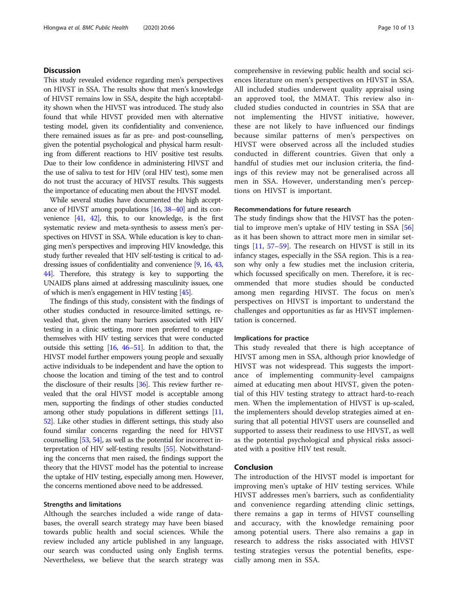#### **Discussion**

This study revealed evidence regarding men's perspectives on HIVST in SSA. The results show that men's knowledge of HIVST remains low in SSA, despite the high acceptability shown when the HIVST was introduced. The study also found that while HIVST provided men with alternative testing model, given its confidentiality and convenience, there remained issues as far as pre- and post-counselling, given the potential psychological and physical harm resulting from different reactions to HIV positive test results. Due to their low confidence in administering HIVST and the use of saliva to test for HIV (oral HIV test), some men do not trust the accuracy of HIVST results. This suggests the importance of educating men about the HIVST model.

While several studies have documented the high acceptance of HIVST among populations [\[16,](#page-11-0) [38](#page-11-0)–[40\]](#page-11-0) and its convenience [[41,](#page-11-0) [42\]](#page-11-0), this, to our knowledge, is the first systematic review and meta-synthesis to assess men's perspectives on HIVST in SSA. While education is key to changing men's perspectives and improving HIV knowledge, this study further revealed that HIV self-testing is critical to addressing issues of confidentiality and convenience [\[9,](#page-10-0) [16](#page-11-0), [43](#page-11-0), [44\]](#page-11-0). Therefore, this strategy is key to supporting the UNAIDS plans aimed at addressing masculinity issues, one of which is men's engagement in HIV testing [\[45\]](#page-11-0).

The findings of this study, consistent with the findings of other studies conducted in resource-limited settings, revealed that, given the many barriers associated with HIV testing in a clinic setting, more men preferred to engage themselves with HIV testing services that were conducted outside this setting [\[16,](#page-11-0) [46](#page-11-0)–[51](#page-11-0)]. In addition to that, the HIVST model further empowers young people and sexually active individuals to be independent and have the option to choose the location and timing of the test and to control the disclosure of their results [\[36\]](#page-11-0). This review further revealed that the oral HIVST model is acceptable among men, supporting the findings of other studies conducted among other study populations in different settings [\[11](#page-10-0), [52](#page-11-0)]. Like other studies in different settings, this study also found similar concerns regarding the need for HIVST counselling [\[53,](#page-11-0) [54\]](#page-11-0), as well as the potential for incorrect interpretation of HIV self-testing results [[55](#page-11-0)]. Notwithstanding the concerns that men raised, the findings support the theory that the HIVST model has the potential to increase the uptake of HIV testing, especially among men. However, the concerns mentioned above need to be addressed.

#### Strengths and limitations

Although the searches included a wide range of databases, the overall search strategy may have been biased towards public health and social sciences. While the review included any article published in any language, our search was conducted using only English terms. Nevertheless, we believe that the search strategy was comprehensive in reviewing public health and social sciences literature on men's perspectives on HIVST in SSA. All included studies underwent quality appraisal using an approved tool, the MMAT. This review also included studies conducted in countries in SSA that are not implementing the HIVST initiative, however, these are not likely to have influenced our findings because similar patterns of men's perspectives on HIVST were observed across all the included studies conducted in different countries. Given that only a handful of studies met our inclusion criteria, the findings of this review may not be generalised across all men in SSA. However, understanding men's perceptions on HIVST is important.

#### Recommendations for future research

The study findings show that the HIVST has the potential to improve men's uptake of HIV testing in SSA [[56](#page-11-0)] as it has been shown to attract more men in similar settings [\[11](#page-10-0), [57](#page-11-0)–[59](#page-12-0)]. The research on HIVST is still in its infancy stages, especially in the SSA region. This is a reason why only a few studies met the inclusion criteria, which focussed specifically on men. Therefore, it is recommended that more studies should be conducted among men regarding HIVST. The focus on men's perspectives on HIVST is important to understand the challenges and opportunities as far as HIVST implementation is concerned.

#### Implications for practice

This study revealed that there is high acceptance of HIVST among men in SSA, although prior knowledge of HIVST was not widespread. This suggests the importance of implementing community-level campaigns aimed at educating men about HIVST, given the potential of this HIV testing strategy to attract hard-to-reach men. When the implementation of HIVST is up-scaled, the implementers should develop strategies aimed at ensuring that all potential HIVST users are counselled and supported to assess their readiness to use HIVST, as well as the potential psychological and physical risks associated with a positive HIV test result.

#### Conclusion

The introduction of the HIVST model is important for improving men's uptake of HIV testing services. While HIVST addresses men's barriers, such as confidentiality and convenience regarding attending clinic settings, there remains a gap in terms of HIVST counselling and accuracy, with the knowledge remaining poor among potential users. There also remains a gap in research to address the risks associated with HIVST testing strategies versus the potential benefits, especially among men in SSA.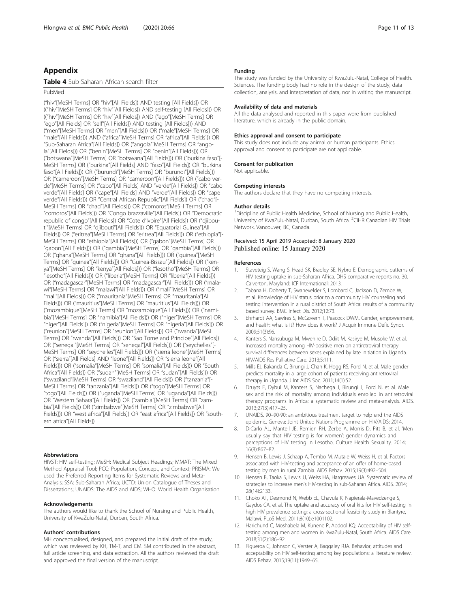#### <span id="page-10-0"></span>Appendix

#### Table 4 Sub-Saharan African search filter

#### PubMed

("hiv"[MeSH Terms] OR "hiv"[All Fields]) AND testing [All Fields]) OR (("hiv"[MeSH Terms] OR "hiv"[All Fields]) AND self-testing [All Fields])) OR (("hiv"[MeSH Terms] OR "hiv"[All Fields]) AND ("ego"[MeSH Terms] OR "ego"[All Fields] OR "self"[All Fields]) AND testing [All Fields])) AND ("men"[MeSH Terms] OR "men"[All Fields])) OR ("male"[MeSH Terms] OR "male"[All Fields])) AND ("africa"[MeSH Terms] OR "africa"[All Fields])) OR "Sub-Saharan Africa"[All Fields]) OR ("angola"[MeSH Terms] OR "angola"[All Fields])) OR ("benin"[MeSH Terms] OR "benin"[All Fields])) OR ("botswana"[MeSH Terms] OR "botswana"[All Fields])) OR ("burkina faso"[- MeSH Terms] OR ("burkina"[All Fields] AND "faso"[All Fields]) OR "burkina faso"[All Fields])) OR ("burundi"[MeSH Terms] OR "burundi"[All Fields])) OR ("cameroon"[MeSH Terms] OR "cameroon"[All Fields])) OR ("cabo verde"[MeSH Terms] OR ("cabo"[All Fields] AND "verde"[All Fields]) OR "cabo verde"[All Fields] OR ("cape"[All Fields] AND "verde"[All Fields]) OR "cape verde"[All Fields])) OR "Central African Republic"[All Fields]) OR ("chad"[- MeSH Terms] OR "chad"[All Fields])) OR ("comoros"[MeSH Terms] OR "comoros"[All Fields])) OR "Congo brazzaville"[All Fields]) OR "Democratic republic of congo"[All Fields]) OR "Cote d'Ivoire"[All Fields]) OR ("djibouti"[MeSH Terms] OR "djibouti"[All Fields])) OR "Equatorial Guinea"[All Fields]) OR ("eritrea"[MeSH Terms] OR "eritrea"[All Fields])) OR ("ethiopia"[- MeSH Terms] OR "ethiopia"[All Fields])) OR ("gabon"[MeSH Terms] OR "gabon"[All Fields])) OR ("gambia"[MeSH Terms] OR "gambia"[All Fields])) OR ("ghana"[MeSH Terms] OR "ghana"[All Fields])) OR ("guinea"[MeSH Terms] OR "guinea"[All Fields])) OR "Guinea-Bissau"[All Fields]) OR ("kenya"[MeSH Terms] OR "kenya"[All Fields])) OR ("lesotho"[MeSH Terms] OR "lesotho"[All Fields])) OR ("liberia"[MeSH Terms] OR "liberia"[All Fields])) OR ("madagascar"[MeSH Terms] OR "madagascar"[All Fields])) OR ("malawi"[MeSH Terms] OR "malawi"[All Fields])) OR ("mali"[MeSH Terms] OR "mali"[All Fields])) OR ("mauritania"[MeSH Terms] OR "mauritania"[All Fields])) OR ("mauritius"[MeSH Terms] OR "mauritius"[All Fields])) OR ("mozambique"[MeSH Terms] OR "mozambique"[All Fields])) OR ("namibia"[MeSH Terms] OR "namibia"[All Fields])) OR ("niger"[MeSH Terms] OR "niger"[All Fields])) OR ("nigeria"[MeSH Terms] OR "nigeria"[All Fields])) OR ("reunion"[MeSH Terms] OR "reunion"[All Fields])) OR ("rwanda"[MeSH Terms] OR "rwanda"[All Fields])) OR "Sao Tome and Principe"[All Fields]) OR ("senegal"[MeSH Terms] OR "senegal"[All Fields])) OR ("seychelles"[- MeSH Terms] OR "seychelles"[All Fields])) OR ("sierra leone"[MeSH Terms] OR ("sierra"[All Fields] AND "leone"[All Fields]) OR "sierra leone"[All Fields])) OR ("somalia"[MeSH Terms] OR "somalia"[All Fields])) OR "South Africa"[All Fields]) OR ("sudan"[MeSH Terms] OR "sudan"[All Fields])) OR ("swaziland"[MeSH Terms] OR "swaziland"[All Fields])) OR ("tanzania"[- MeSH Terms] OR "tanzania"[All Fields])) OR ("togo"[MeSH Terms] OR "togo"[All Fields])) OR ("uganda"[MeSH Terms] OR "uganda"[All Fields])) OR "Western Sahara"[All Fields]) OR ("zambia"[MeSH Terms] OR "zambia"[All Fields])) OR ("zimbabwe"[MeSH Terms] OR "zimbabwe"[All Fields])) OR "west africa"[All Fields]) OR "east africa"[All Fields]) OR "southern africa"[All Fields])

#### Abbreviations

HIVST: HIV self-testing; MeSH: Medical Subject Headings; MMAT: The Mixed Method Appraisal Tool; PCC: Population, Concept, and Context; PRISMA: We used the Preferred Reporting Items for Systematic Reviews and Meta-Analysis; SSA: Sub-Saharan Africa; UCTD: Union Catalogue of Theses and Dissertations; UNAIDS: The AIDS and AIDS; WHO: World Health Organisation

#### Acknowledgements

The authors would like to thank the School of Nursing and Public Health, University of KwaZulu-Natal, Durban, South Africa.

#### Authors' contributions

MH conceptualised, designed, and prepared the initial draft of the study, which was reviewed by KH, TM-T, and CM. SM contributed in the abstract, full article screening, and data extraction. All the authors reviewed the draft and approved the final version of the manuscript.

#### Funding

The study was funded by the University of KwaZulu-Natal, College of Health. Sciences. The funding body had no role in the design of the study, data collection, analysis, and interpretation of data, nor in writing the manuscript.

#### Availability of data and materials

All the data analysed and reported in this paper were from published literature, which is already in the public domain.

#### Ethics approval and consent to participate

This study does not include any animal or human participants. Ethics approval and consent to participate are not applicable.

#### Consent for publication

Not applicable.

#### Competing interests

The authors declare that they have no competing interests.

#### Author details

<sup>1</sup> Discipline of Public Health Medicine, School of Nursing and Public Health University of KwaZulu-Natal, Durban, South Africa. <sup>2</sup>CIHR Canadian HIV Trials Network, Vancouver, BC, Canada.

#### Received: 15 April 2019 Accepted: 8 January 2020 Published online: 15 January 2020

#### References

- 1. Staveteig S, Wang S, Head SK, Bradley SE, Nybro E. Demographic patterns of HIV testing uptake in sub-Saharan Africa. DHS comparative reports no. 30. Calverton, Maryland: ICF International; 2013.
- 2. Tabana H, Doherty T, Swanevelder S, Lombard C, Jackson D, Zembe W, et al. Knowledge of HIV status prior to a community HIV counseling and testing intervention in a rural district of South Africa: results of a community based survey. BMC Infect Dis. 2012;12:73.
- 3. Ehrhardt AA, Sawires S, McGovern T, Peacock DWM. Gender, empowerment, and health: what is it? How does it work? J Acquir Immune Defic Syndr. 2009;51(3):96.
- 4. Kanters S, Nansubuga M, Mwehire D, Odiit M, Kasirye M, Musoke W, et al. Increased mortality among HIV-positive men on antiretroviral therapy: survival differences between sexes explained by late initiation in Uganda. HIV/AIDS Res Palliative Care. 2013;5:111.
- 5. Mills EJ, Bakanda C, Birungi J, Chan K, Hogg RS, Ford N, et al. Male gender predicts mortality in a large cohort of patients receiving antiretroviral therapy in Uganda. J Int AIDS Soc. 2011;14(1):52.
- 6. Druyts E, Dybul M, Kanters S, Nachega J, Birungi J, Ford N, et al. Male sex and the risk of mortality among individuals enrolled in antiretroviral therapy programs in Africa: a systematic review and meta-analysis. AIDS. 2013;27(3):417–25.
- 7. UNAIDS. 90–90-90: an ambitious treatment target to help end the AIDS epidemic. Geneva: Joint United Nations Programme on HIV/AIDS; 2014.
- 8. DiCarlo AL, Mantell JE, Remien RH, Zerbe A, Morris D, Pitt B, et al. 'Men usually say that HIV testing is for women': gender dynamics and perceptions of HIV testing in Lesotho. Culture Health Sexuality. 2014; 16(8):867–82.
- 9. Hensen B, Lewis J, Schaap A, Tembo M, Mutale W, Weiss H, et al. Factors associated with HIV-testing and acceptance of an offer of home-based testing by men in rural Zambia. AIDS Behav. 2015;19(3):492–504.
- 10. Hensen B, Taoka S, Lewis JJ, Weiss HA, Hargreaves JJA. Systematic review of strategies to increase men's HIV-testing in sub-Saharan Africa. AIDS. 2014; 28(14):2133.
- 11. Choko AT, Desmond N, Webb EL, Chavula K, Napierala-Mavedzenge S, Gaydos CA, et al. The uptake and accuracy of oral kits for HIV self-testing in high HIV prevalence setting: a cross-sectional feasibility study in Blantyre, Malawi. PLoS Med. 2011;8(10):e1001102.
- 12. Harichund C, Moshabela M, Kunene P, Abdool KQ. Acceptability of HIV selftesting among men and women in KwaZulu-Natal, South Africa. AIDS Care. 2018;31(2):186–92.
- 13. Figueroa C, Johnson C, Verster A, Baggaley RJA. Behavior, attitudes and acceptability on HIV self-testing among key populations: a literature review. AIDS Behav. 2015;19(11):1949–65.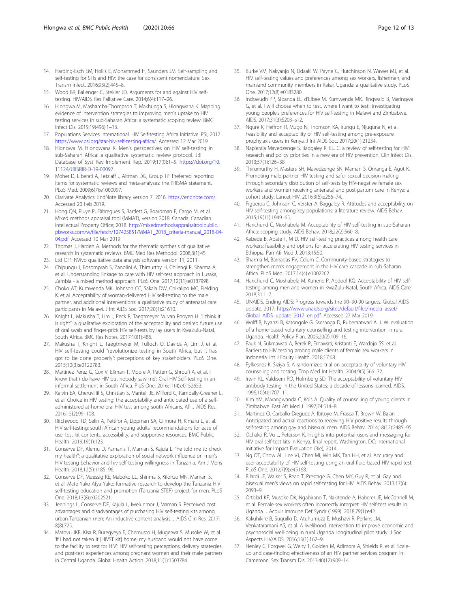- <span id="page-11-0"></span>14. Harding-Esch EM, Hollis E, Mohammed H, Saunders JM. Self-sampling and self-testing for STIs and HIV: the case for consistent nomenclature. Sex Transm Infect. 2016;93(2):445–8.
- 15. Wood BR, Ballenger C, Stekler JD. Arguments for and against HIV selftesting. HIV/AIDS Res Palliative Care. 2014;6(4):117–26.
- 16. Hlongwa M, Mashamba-Thompson T, Makhunga S, Hlongwana K. Mapping evidence of intervention strategies to improving men's uptake to HIV testing services in sub-Saharan Africa: a systematic scoping review. BMC Infect Dis. 2019;19(496):1–13.
- 17. Populations Services International. HIV Self-testing Africa Initiative. PSI; 2017. <https://www.psi.org/star-hiv-self-testing-africa/>. Accessed 12 Mar 2019.
- 18. Hlongwa M, Hlongwana K. Men's perspectives on HIV self-testing in sub-Saharan Africa: a qualitative systematic review protocol. JBI Database of Syst Rev Implement Rep. 2019;17(0):1–5. [https://doi.org/10.](https://doi.org/10.11124/JBISRIR-D-19-00097) [11124/JBISRIR-D-19-00097](https://doi.org/10.11124/JBISRIR-D-19-00097).
- 19. Moher D, Liberati A, Tetzlaff J, Altman DG, Group TP. Preferred reporting items for systematic reviews and meta-analyses: the PRISMA statement. PLoS Med. 2009;6(7):e1000097.
- 20. Clarivate Analytics. EndNote library version 7. 2016. <https://endnote.com/>. Accessed 20 Feb 2019.
- 21. Hong QN, Pluye P, Fàbregues S, Bartlett G, Boardman F, Cargo M, et al. Mixed methods appraisal tool (MMAT), version 2018. Canada: Canadian Intellectual Property Office; 2018. [http://mixedmethodsappraisaltoolpublic.](http://mixedmethodsappraisaltoolpublic.pbworks.com/w/file/fetch/127425851/MMAT_2018_criteria-manual_2018-04-04.pdf) [pbworks.com/w/file/fetch/127425851/MMAT\\_2018\\_criteria-manual\\_2018-04-](http://mixedmethodsappraisaltoolpublic.pbworks.com/w/file/fetch/127425851/MMAT_2018_criteria-manual_2018-04-04.pdf) [04.pdf](http://mixedmethodsappraisaltoolpublic.pbworks.com/w/file/fetch/127425851/MMAT_2018_criteria-manual_2018-04-04.pdf). Accessed 10 Mar 2019
- 22. Thomas J, Harden A. Methods for the thematic synthesis of qualitative research in systematic reviews. BMC Med Res Methodol. 2008;8(1):45.
- 23. Ltd QIP. NVivo qualitative data analysis software version 11; 2011.
- 24. Chipungu J, Bosomprah S, Zanolini A, Thimurthy H, Chilengi R, Sharma A, et al. Understanding linkage to care with HIV self-test approach in Lusaka, Zambia - a mixed method approach. PLoS One. 2017;12(11):e0187998.
- 25. Choko AT, Kumwenda MK, Johnson CC, Sakala DW, Chikalipo MC, Fielding K, et al. Acceptability of woman-delivered HIV self-testing to the male partner, and additional interventions: a qualitative study of antenatal care participants in Malawi. J Int AIDS Soc. 2017;20(1):21610.
- 26. Knight L, Makusha T, Lim J, Peck R, Taegtmeyer M, van Rooyen H. "I think it is right": a qualitative exploration of the acceptability and desired future use of oral swab and finger-prick HIV self-tests by lay users in KwaZulu-Natal, South Africa. BMC Res Notes. 2017;10(1):486.
- 27. Makusha T, Knight L, Taegtmeyer M, Tulloch O, Davids A, Lim J, et al. HIV self-testing could "revolutionize testing in South Africa, but it has got to be done properly": perceptions of key stakeholders. PLoS One. 2015;10(3):e0122783.
- 28. Martinez Perez G, Cox V, Ellman T, Moore A, Patten G, Shroufi A, et al. I know that i do have HIV but nobody saw me': Oral HIV Self-testing in an informal settlement in South Africa. PloS One. 2016;11(4):e0152653.
- 29. Kelvin EA, Cheruvillil S, Christian S, Mantell JE, Milford C, Rambally-Greener L, et al. Choice in HIV testing: the acceptability and anticipated use of a selfadministered at-home oral HIV test among south Africans. Afr J AIDS Res. 2016;15(2):99–108.
- 30. Ritchwood TD, Selin A, Pettifor A, Lippman SA, Gilmore H, Kimaru L, et al. HIV self-testing: south African young adults' recommendations for ease of use, test kit contents, accessibility, and supportive resources. BMC Public Health. 2019;19(1):123.
- 31. Conserve DF, Alemu D, Yamanis T, Maman S, Kajula L. "he told me to check my health": a qualitative exploration of social network influence on men's HIV testing behavior and hiv self-testing willingness in Tanzania. Am J Mens Health. 2018;12(5):1185–96.
- 32. Conserve DF, Muessig KE, Maboko LL, Shirima S, Kilonzo MN, Maman S, et al. Mate Yako Afya Yako: formative research to develop the Tanzania HIV self-testing education and promotion (Tanzania STEP) project for men. PLoS One. 2018;13(8):e0202521.
- 33. Jennings L, Conserve DF, Kajula L, Iwelunmor J, Maman S. Perceived cost advantages and disadvantages of purchasing HIV self-testing kits among urban Tanzanian men: An inductive content analysis. J AIDS Clin Res. 2017; 8(8):725.
- 34. Matovu JKB, Kisa R, Buregyeya E, Chemusto H, Mugerwa S, Musoke W, et al. 'If I had not taken it [HIVST kit] home, my husband would not have come to the facility to test for HIV': HIV self-testing perceptions, delivery strategies, and post-test experiences among pregnant women and their male partners in Central Uganda. Global Health Action. 2018;11(1):1503784.
- 35. Burke VM, Nakyanjo N, Ddaaki W, Payne C, Hutchinson N, Wawer MJ, et al. HIV self-testing values and preferences among sex workers, fishermen, and mainland community members in Rakai, Uganda: a qualitative study. PLoS One. 2017;12(8):e0183280.
- 36. Indravudh PP, Sibanda EL, d'Elbee M, Kumwenda MK, Ringwald B, Maringwa G, et al. I will choose when to test, where I want to test': investigating young people's preferences for HIV self-testing in Malawi and Zimbabwe. AIDS. 2017;31(3):S203–s12.
- 37. Ngure K, Heffron R, Mugo N, Thomson KA, Irungu E, Njuguna N, et al. Feasibility and acceptability of HIV self-testing among pre-exposure prophylaxis users in Kenya. J Int AIDS Soc. 2017;20(1):21234.
- 38. Napierala Mavedzenge S, Baggaley R. EL. C. a review of self-testing for HIV: research and policy priorities in a new era of HIV prevention. Clin Infect Dis. 2013;57(1):126–38.
- 39. Thirumurthy H, Masters SH, Mavedzenge SN, Maman S, Omanga E, Agot K. Promoting male partner HIV testing and safer sexual decision making through secondary distribution of self-tests by HIV-negative female sex workers and women receiving antenatal and post-partum care in Kenya: a cohort study. Lancet HIV. 2016;3(6):e266–74.
- 40. Figueroa C, Johnson C, Verster A, Baggaley R. Attitudes and acceptability on HIV self-testing among key populations: a literature review. AIDS Behav. 2015;19(11):1949–65.
- 41. Harichund C, Moshabela M. Acceptability of HIV self-testing in sub-Saharan Africa: scoping study. AIDS Behav. 2018;22(2):560–8.
- 42. Kebede B, Abate T, M D. HIV self-testing practices among health care workers: feasibility and options for accelerating HIV testing services in Ethiopia. Pan Afr Med J. 2013;15:50.
- 43. Sharma M, Barnabas RV, Celum C. Community-based strategies to strengthen men's engagement in the HIV care cascade in sub-Saharan Africa. PLoS Med. 2017;14(4):e1002262.
- 44. Harichund C, Moshabela M, Kunene P, Abdool KQ. Acceptability of HIV selftesting among men and women in KwaZulu-Natal, South Africa. AIDS Care. 2018;31:1–7.
- 45. UNAIDS. Ending AIDS: Progress towards the 90–90-90 targets. Global AIDS update. 2017. [https://www.unaids.org/sites/default/files/media\\_asset/](https://www.unaids.org/sites/default/files/media_asset/Global_AIDS_update_2017_en.pdf) [Global\\_AIDS\\_update\\_2017\\_en.pdf](https://www.unaids.org/sites/default/files/media_asset/Global_AIDS_update_2017_en.pdf). Accessed 27 Mar 2019.
- 46. Wolff B, Nyanzi B, Katongole G, Ssesanga D, Ruberantwari A. J. W. evaluation of a home-based voluntary counselling and testing intervention in rural Uganda. Health Policy Plan. 2005;20(2):109–16.
- 47. Fauk N, Sukmawati A, Berek P, Ernawati, Kristanti E, Wardojo SS, et al. Barriers to HIV testing among male clients of female sex workers in Indonesia. Int J Equity Health. 2018;17:68.
- 48. Fylkesnes K, Siziya S. A randomized trial on acceptability of voluntary HIV counseling and testing. Trop Med Int Health. 2004;9(5):566–72.
- 49. Irwin KL, Valdiserri RO, Holmberg SD. The acceptability of voluntary HIV antibody testing in the United States: a decade of lessons learned. AIDS. 1996;10(4):1707–11.
- 50. Kim YM, Marangwanda C, Kols A. Quality of counselling of young clients in Zimbabwe. East Afr Med J. 1997;74:514–8.
- 51. Martinez O, Carballo-Dieguez A, Ibitoye M, Frasca T, Brown W, Balan I. Anticipated and actual reactions to receiving HIV positive results through self-testing among gay and bisexual men. AIDS Behav. 2014;18(12):2485–95.
- 52. Ochako R, Vu L, Peterson K. Insights into potential users and messaging for HIV oral self-test kits in Kenya, final report. Washington, DC: International Initiative for Impact Evaluation (3ie); 2014.
- 53. Ng OT, Chow AL, Lee VJ, Chen MI, Win MK, Tan HH, et al. Accuracy and user-acceptability of HIV self-testing using an oral fluid-based HIV rapid test. PLoS One. 2012;7(9):e45168.
- 54. Bilardi JE, Walker S, Read T, Prestage G, Chen MY, Guy R, et al. Gay and bisexual men's views on rapid self-testing for HIV. AIDS Behav. 2013;17(6): 2093–9.
- 55. Ortblad KF, Musoke DK, Ngabirano T, Nakitende A, Haberer JE, McConnell M, et al. Female sex workers often incorrectly interpret HIV self-test results in Uganda. J Acquir Immune Def Syndr (1999). 2018;79(1):e42.
- 56. Kakuhikire B, Suquillo D, Atuhumuza E, Mushavi R, Perkins JM, Venkataramani AS, et al. A livelihood intervention to improve economic and psychosocial well-being in rural Uganda: longitudinal pilot study. J Soc Aspects HIV/AIDS. 2016;13(1):162–9.
- 57. Henley C, Forgwei G, Welty T, Golden M, Adimora A, Shields R, et al. Scaleup and case-finding effectiveness of an HIV partner services program in Cameroon. Sex Transm Dis. 2013;40(12):909–14.